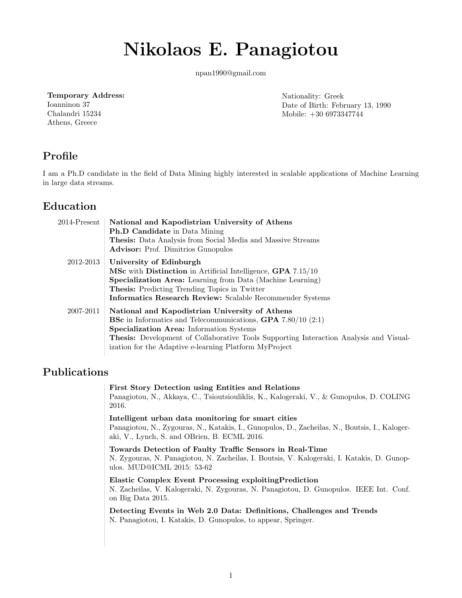# **Nikolaos E. Panagiotou**

npan1990@gmail.com

#### **Temporary Address:**

Ioanninon 37 Chalandri 15234 Athens, Greece

Nationality: Greek Date of Birth: February 13, 1990 Mobile: +30 6973347744

## **Profile**

I am a Ph.D candidate in the field of Data Mining highly interested in scalable applications of Machine Learning in large data streams.

## **Education**

| $2014$ -Present | National and Kapodistrian University of Athens<br><b>Ph.D Candidate</b> in Data Mining<br>Thesis: Data Analysis from Social Media and Massive Streams<br><b>Advisor:</b> Prof. Dimitrios Gunopulos                                                                                                                                             |
|-----------------|------------------------------------------------------------------------------------------------------------------------------------------------------------------------------------------------------------------------------------------------------------------------------------------------------------------------------------------------|
| 2012-2013       | University of Edinburgh<br><b>MSc</b> with <b>Distinction</b> in Artificial Intelligence, <b>GPA</b> 7.15/10<br><b>Specialization Area:</b> Learning from Data (Machine Learning)<br><b>Thesis:</b> Predicting Trending Topics in Twitter<br>Informatics Research Review: Scalable Recommender Systems                                         |
| 2007-2011       | National and Kapodistrian University of Athens<br><b>BSc</b> in Informatics and Telecommunications, <b>GPA</b> $7.80/10$ $(2.1)$<br><b>Specialization Area:</b> Information Systems<br><b>Thesis:</b> Development of Collaborative Tools Supporting Interaction Analysis and Visual-<br>ization for the Adaptive e-learning Platform MyProject |

#### **Publications**

**First Story Detection using Entities and Relations** Panagiotou, N., Akkaya, C., Tsioutsiouliklis, K., Kalogeraki, V., & Gunopulos, D. COLING 2016. **Intelligent urban data monitoring for smart cities**

Panagiotou, N., Zygouras, N., Katakis, I., Gunopulos, D., Zacheilas, N., Boutsis, I., Kalogeraki, V., Lynch, S. and OBrien, B. ECML 2016.

**Towards Detection of Faulty Traffic Sensors in Real-Time** N. Zygouras, N. Panagiotou, N. Zacheilas, I. Boutsis, V. Kalogeraki, I. Katakis, D. Gunopulos. MUD@ICML 2015: 53-62

**Elastic Complex Event Processing exploitingPrediction** N. Zacheilas, V. Kalogeraki, N. Zygouras, N. Panagiotou, D. Gunopulos. IEEE Int. Conf. on Big Data 2015.

**Detecting Events in Web 2.0 Data: Definitions, Challenges and Trends** N. Panagiotou, I. Katakis, D. Gunopulos, to appear, Springer.